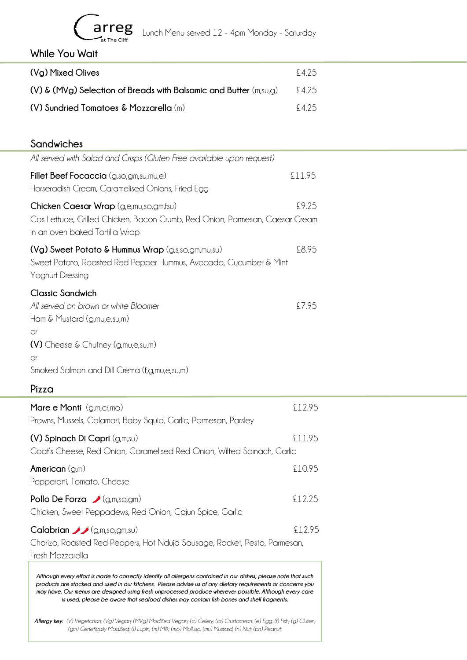

arreg Lunch Menu served 12 - 4pm Monday - Saturday

**While You Wait**

| (Vg) Mixed Olives                                                          | F475   |
|----------------------------------------------------------------------------|--------|
| $(V)$ & (MVg) Selection of Breads with Balsamic and Butter $(m, s \cup g)$ | \$4.25 |
| $(V)$ Sundried Tomatoes & Mozzarella (m)                                   | £425   |

## **Sandwiches**

| All served with Salad and Crisps (Gluten Free available upon request)                                                                                     |       |
|-----------------------------------------------------------------------------------------------------------------------------------------------------------|-------|
| Fillet Beef Focaccia (g,so,gm,su,mu,e)<br>£11.95<br>Horseradish Cream, Caramelised Onions, Fried Egg                                                      |       |
| Chicken Caesar Wrap (g,e,mu,so,gm,fsu)<br>Cos Lettuce, Grilled Chicken, Bacon Crumb, Red Onion, Parmesan, Caesar Cream<br>in an oven baked Tortilla Wrap  | £9.25 |
| $(Vg)$ Sweet Potato & Hummus Wrap $(g,s,s_0,g_m,m_0,s_0)$<br>Sweet Potato, Roasted Red Pepper Hummus, Avocado, Cucumber & Mint<br><b>Yoghurt Dressing</b> | £8.95 |
| <b>Classic Sandwich</b><br>All served on brown or white Bloomer<br>Ham & Mustard (g,mu,e,su,m)<br><b>Or</b>                                               | £7.95 |
| $(V)$ Cheese & Chutney (g, mu, e, su, m)                                                                                                                  |       |
| <b>Or</b><br>Smoked Salmon and Dill Crema (f,g,mu,e,su,m)                                                                                                 |       |

**Pizza**

| Mare e Monti $(g,m,cr,mo)$<br>Prawns, Mussels, Calamari, Baby Squid, Garlic, Parmesan, Parsley                                                                                                                                                                                                                                                                                                                                         | £1295  |
|----------------------------------------------------------------------------------------------------------------------------------------------------------------------------------------------------------------------------------------------------------------------------------------------------------------------------------------------------------------------------------------------------------------------------------------|--------|
| $(V)$ Spinach Di Capri $(g,m,su)$<br>Goat's Cheese, Red Onion, Caramelised Red Onion, Wilted Spinach, Garlic                                                                                                                                                                                                                                                                                                                           | £11.95 |
| American $(g,m)$<br>Pepperoni, Tomato, Cheese                                                                                                                                                                                                                                                                                                                                                                                          | £10.95 |
| Pollo De Forza $\bigcup$ (g,m,so,gm)<br>Chicken, Sweet Peppadews, Red Onion, Cajun Spice, Garlic                                                                                                                                                                                                                                                                                                                                       | £12.25 |
| <b>Calabrian</b> $\bigcup$ (g,m,so,gm,su)<br>Chorizo, Roasted Red Peppers, Hot Nduja Sausage, Rocket, Pesto, Parmesan,<br>Fresh Mozzarella                                                                                                                                                                                                                                                                                             | £12.95 |
| Although every effort is made to correctly identify all allergens contained in our dishes, please note that such<br>products are stocked and used in our kitchens. Please advise us of any dietary requirements or concerns you<br>may have. Our menus are designed using fresh unprocessed produce wherever possible. Although every care<br>is used, please be aware that seafood dishes may contain fish bones and shell fragments. |        |

*Allergy key: (V) Vegetarian; (Vg) Vegan; (MVg) Modified Vegan; (c) Celery; (cr) Crustacean; (e) Egg; (f) Fish; (g) Gluten; (gm) Genetically Modified; (l) Lupin; (m) Milk; (mo) Mollusc; (mu) Mustard; (n) Nut; (pn) Peanut;*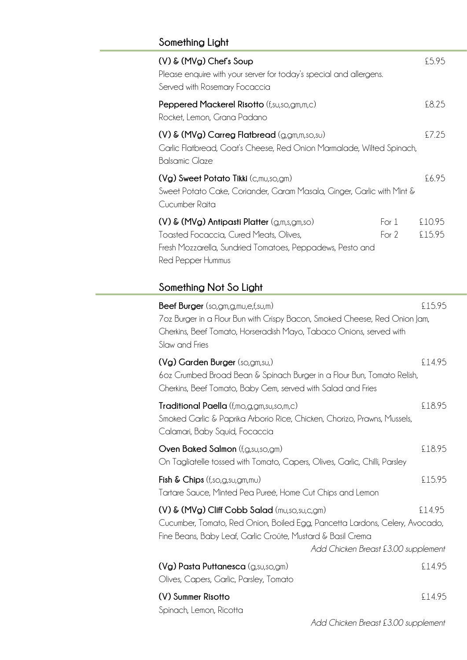# **Something Light**

| $(V)$ & $(MVg)$ Chef's Soup<br>Please enquire with your server for today's special and allergens.<br>Served with Rosemary Focaccia                                            |                | £5.95            |
|-------------------------------------------------------------------------------------------------------------------------------------------------------------------------------|----------------|------------------|
| Peppered Mackerel Risotto (f,su,so,gm,m,c)<br>Rocket, Lemon, Grana Padano                                                                                                     |                | £8.25            |
| $(V)$ & $(MVg)$ Carreg Flatbread $(g, gm, m, so, su)$<br>Garlic Flatbread, Goat's Cheese, Red Onion Marmalade, Wilted Spinach,<br><b>Balsamic Glaze</b>                       |                | £7.25            |
| $(Vg)$ Sweet Potato Tikki (c,mu,so,gm)<br>Sweet Potato Cake, Coriander, Garam Masala, Ginger, Garlic with Mint &<br>Cucumber Raita                                            |                | £6.95            |
| $(V)$ & $(MVg)$ Antipasti Platter $(g,m,s,gm,so)$<br>Toasted Focaccia, Cured Meats, Olives,<br>Fresh Mozzarella, Sundried Tomatoes, Peppadews, Pesto and<br>Red Pepper Hummus | For 1<br>For 2 | £10.95<br>£15.95 |
| Something Not So Light                                                                                                                                                        |                |                  |

| <b>Beef Burger</b> (so,gm,g,mu,e,f,su,m)<br>7oz Burger in a Flour Bun with Crispy Bacon, Smoked Cheese, Red Onion Jam,<br>Cherkins, Beef Tomato, Horseradish Mayo, Tabaco Onions, served with<br>Slaw and Fries                   | £15.95 |
|-----------------------------------------------------------------------------------------------------------------------------------------------------------------------------------------------------------------------------------|--------|
| (Vg) Garden Burger (so,gm,su,)<br>60z Crumbed Broad Bean & Spinach Burger in a Flour Bun, Tomato Relish,<br>Cherkins, Beef Tomato, Baby Gem, served with Salad and Fries                                                          | £14.95 |
| Traditional Paella (f,mo,g,gm,su,so,m,c)<br>Smoked Garlic & Paprika Arborio Rice, Chicken, Chorizo, Prawns, Mussels,<br>Calamari, Baby Squid, Focaccia                                                                            | £18.95 |
| Oven Baked Salmon (f, g, su, so, gm)<br>On Tagliatelle tossed with Tomato, Capers, Olives, Garlic, Chilli, Parsley                                                                                                                | £18.95 |
| Fish & Chips $(f, so, g, su, gm, mu)$<br>Tartare Sauce, Minted Pea Pureé, Home Cut Chips and Lemon                                                                                                                                | £15.95 |
| (V) & (MVg) Cliff Cobb Salad (mu,so,su,c,gm)<br>Cucumber, Tomato, Red Onion, Boiled Egg, Pancetta Lardons, Celery, Avocado,<br>Fine Beans, Baby Leaf, Garlic Croûte, Mustard & Basil Crema<br>Add Chicken Breast £3.00 supplement | £14.95 |
| (Vg) Pasta Puttanesca (g,su,so,gm)<br>Olives, Capers, Garlic, Parsley, Tomato                                                                                                                                                     | £14.95 |
| (V) Summer Risotto<br>Spinach, Lemon, Ricotta                                                                                                                                                                                     | £14.95 |

 *Add Chicken Breast £3.00 supplement*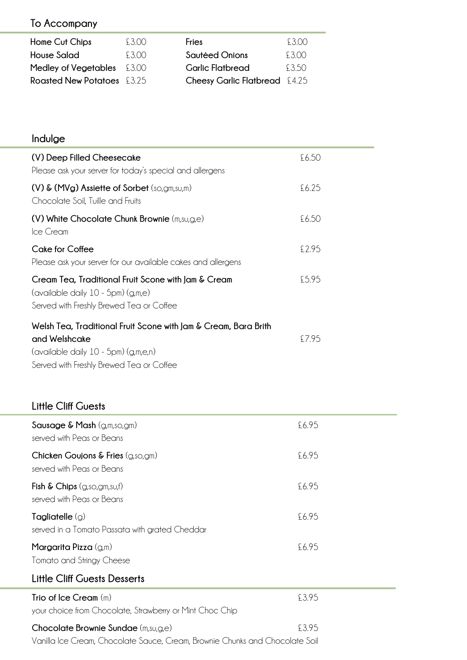# **To Accompany**

| Home Cut Chips                    | £3.00 | <b>Fries</b>                  | 5300  |
|-----------------------------------|-------|-------------------------------|-------|
| <b>House Salad</b>                | 5300  | Sautéed Onions                | 5300. |
| <b>Medley of Vegetables</b> £3.00 |       | <b>Garlic Flatbread</b>       | £3.50 |
| <b>Roasted New Potatoes</b> £3.25 |       | Cheesy Garlic Flatbread £4.25 |       |

# **Indulge**

| Trio of Ice Cream $(m)$<br>your choice from Chocolate, Strawberry or Mint Choc Chip                                                                                  | £3.95 |  |
|----------------------------------------------------------------------------------------------------------------------------------------------------------------------|-------|--|
| <b>Little Cliff Guests Desserts</b>                                                                                                                                  |       |  |
| Margarita Pizza (g,m)<br>Tomato and Stringy Cheese                                                                                                                   | £6.95 |  |
| Tagliatelle $(g)$<br>served in a Tomato Passata with grated Cheddar                                                                                                  | £6.95 |  |
| Fish $\&$ Chips $(g, so, gm, su, f)$<br>served with Peas or Beans                                                                                                    | £6.95 |  |
| Chicken Goujons & Fries (g,so,gm)<br>served with Peas or Beans                                                                                                       | £6.95 |  |
| Sausage & Mash (g,m,so,gm)<br>served with Peas or Beans                                                                                                              | £6.95 |  |
| <b>Little Cliff Guests</b>                                                                                                                                           |       |  |
| Welsh Tea, Traditional Fruit Scone with Jam & Cream, Bara Brith<br>and Welshcake<br>(available daily 10 - 5pm) (g,m,e,n)<br>Served with Freshly Brewed Tea or Coffee | £7.95 |  |
| Cream Tea, Traditional Fruit Scone with Jam & Cream<br>(available daily 10 - 5pm) (g,m,e)<br>Served with Freshly Brewed Tea or Coffee                                | £5.95 |  |
| <b>Cake for Coffee</b><br>Please ask your server for our available cakes and allergens                                                                               | £2.95 |  |
| (V) White Chocolate Chunk Brownie (m,su,g,e)<br>Ice Cream                                                                                                            | £6.50 |  |
| (V) & (MVg) Assiette of Sorbet (so,gm,su,m)<br>Chocolate Soil, Tuille and Fruits                                                                                     | £6.25 |  |
| (V) Deep Filled Cheesecake<br>Please ask your server for today's special and allergens                                                                               | £6.50 |  |

| £3.95 |
|-------|
|       |
|       |

Vanilla Ice Cream, Chocolate Sauce, Cream, Brownie Chunks and Chocolate Soil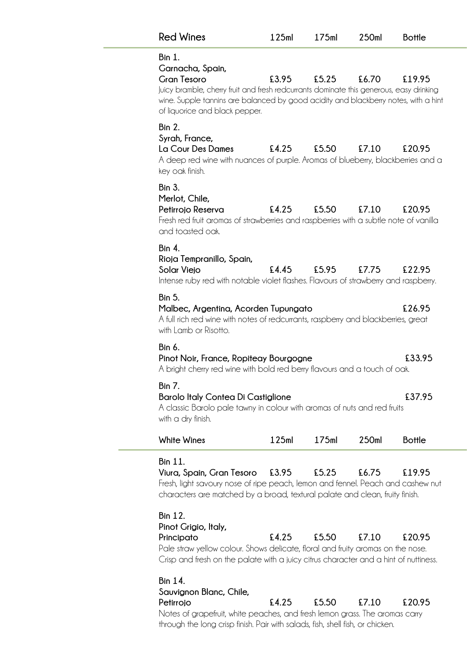| <b>Red Wines</b>                                                                                                                                                                                                                                                            | 125ml | 175ml | 250ml | <b>Bottle</b> |
|-----------------------------------------------------------------------------------------------------------------------------------------------------------------------------------------------------------------------------------------------------------------------------|-------|-------|-------|---------------|
| <b>Bin 1.</b><br>Garnacha, Spain,<br><b>Gran Tesoro</b><br>Juicy bramble, cherry fruit and fresh redcurrants dominate this generous, easy drinking<br>wine. Supple tannins are balanced by good acidity and blackberry notes, with a hint<br>of liquorice and black pepper. | £3.95 | £5.25 | £6.70 | £19.95        |
| <b>Bin 2.</b><br>Syrah, France,<br>La Cour Des Dames<br>A deep red wine with nuances of purple. Aromas of blueberry, blackberries and a<br>key oak finish.                                                                                                                  | £4.25 | £5.50 | £7.10 | £20.95        |
| <b>Bin 3.</b><br>Merlot, Chile,<br>Petirrojo Reserva<br>Fresh red fruit aromas of strawberries and raspberries with a subtle note of vanilla<br>and toasted oak.                                                                                                            | £4.25 | £5.50 | £7.10 | £20.95        |
| <b>Bin 4.</b><br>Rioja Tempranillo, Spain,<br>Solar Viejo<br>Intense ruby red with notable violet flashes. Flavours of strawberry and raspberry.                                                                                                                            | £4.45 | £5.95 | £7.75 | £22.95        |
| <b>Bin 5.</b><br>Malbec, Argentina, Acorden Tupungato<br>A full rich red wine with notes of redcurrants, raspberry and blackberries, great<br>with Lamb or Risotto.                                                                                                         |       |       |       | £26.95        |
| Bin 6.<br>Pinot Noir, France, Ropiteay Bourgogne<br>A bright cherry red wine with bold red berry flavours and a touch of oak.                                                                                                                                               |       |       |       | £33.95        |
| <b>Bin 7.</b><br><b>Barolo Italy Contea Di Castiglione</b><br>A classic Barolo pale tawny in colour with aromas of nuts and red fruits<br>with a dry finish.                                                                                                                |       |       |       | £37.95        |
| White Wines                                                                                                                                                                                                                                                                 | 125ml | 175ml | 250ml | <b>Bottle</b> |
| <b>Bin 11.</b><br>Viura, Spain, Gran Tesoro<br>Fresh, light savoury nose of ripe peach, lemon and fennel. Peach and cashew nut<br>characters are matched by a broad, textural palate and clean, fruity finish.                                                              | £3.95 | £5.25 | £6.75 | £19.95        |
| <b>Bin 12.</b><br>Pinot Grigio, Italy,<br>Principato<br>Pale straw yellow colour. Shows delicate, floral and fruity aromas on the nose.<br>Crisp and fresh on the palate with a juicy citrus character and a hint of nuttiness.                                             | £4.25 | £5.50 | £7.10 | £20.95        |
| <b>Bin 14.</b><br>Sauvignon Blanc, Chile,<br>Petirrojo<br>Notes of grapefruit, white peaches, and fresh lemon grass. The aromas carry<br>through the long crisp finish. Pair with salads, fish, shell fish, or chicken.                                                     | £4.25 | £5.50 | £7.10 | £20.95        |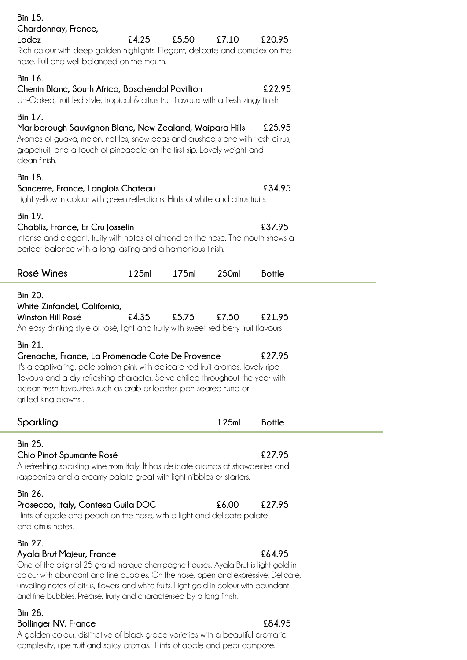| <b>Bin 15.</b><br>Chardonnay, France,<br>Lodez                                                                                                                                                                                                                                                                                                                                                          | £4.25 | £5.50 | £7.10 | £20.95           |  |
|---------------------------------------------------------------------------------------------------------------------------------------------------------------------------------------------------------------------------------------------------------------------------------------------------------------------------------------------------------------------------------------------------------|-------|-------|-------|------------------|--|
| Rich colour with deep golden highlights. Elegant, delicate and complex on the<br>nose. Full and well balanced on the mouth.                                                                                                                                                                                                                                                                             |       |       |       |                  |  |
| Bin 16.<br>Chenin Blanc, South Africa, Boschendal Pavillion<br>Un-Oaked, fruit led style, tropical & citrus fruit flavours with a fresh zingy finish.                                                                                                                                                                                                                                                   |       |       |       | £22.95           |  |
| <b>Bin 17.</b><br>Marlborough Sauvignon Blanc, New Zealand, Waipara Hills<br>Aromas of guava, melon, nettles, snow peas and crushed stone with fresh citrus,<br>grapefruit, and a touch of pineapple on the first sip. Lovely weight and<br>clean finish.                                                                                                                                               |       |       |       | £25.95           |  |
| <b>Bin 18.</b><br>Sancerre, France, Langlois Chateau<br>Light yellow in colour with green reflections. Hints of white and citrus fruits.                                                                                                                                                                                                                                                                |       |       |       | £34.95           |  |
| <b>Bin 19.</b><br>Chablis, France, Er Cru Josselin<br>Intense and elegant, fruity with notes of almond on the nose. The mouth shows a<br>perfect balance with a long lasting and a harmonious finish.                                                                                                                                                                                                   |       |       |       | £37.95           |  |
| <b>Rosé Wines</b>                                                                                                                                                                                                                                                                                                                                                                                       | 125ml | 175ml | 250ml | <b>Bottle</b>    |  |
| <b>Bin 20.</b><br>White Zinfandel, California,<br>Winston Hill Rosé<br>An easy drinking style of rosé, light and fruity with sweet red berry fruit flavours<br><b>Bin 21.</b><br>Grenache, France, La Promenade Cote De Provence<br>It's a captivating, pale salmon pink with delicate red fruit aromas, lovely ripe<br>flavours and a dry refreshing character. Serve chilled throughout the year with | £4.35 | £5.75 | £7.50 | £21.95<br>£27.95 |  |
| ocean fresh favourites such as crab or lobster, pan seared tuna or<br>grilled king prawns.                                                                                                                                                                                                                                                                                                              |       |       |       |                  |  |
| Sparkling                                                                                                                                                                                                                                                                                                                                                                                               |       |       | 125ml | <b>Bottle</b>    |  |
| <b>Bin 25.</b><br>Chio Pinot Spumante Rosé<br>A refreshing sparkling wine from Italy. It has delicate aromas of strawberries and<br>raspberries and a creamy palate great with light nibbles or starters.                                                                                                                                                                                               |       |       |       | £27.95           |  |
| <b>Bin 26.</b><br>Prosecco, Italy, Contesa Guila DOC<br>Hints of apple and peach on the nose, with a light and delicate palate<br>and citrus notes.                                                                                                                                                                                                                                                     |       |       | £6.00 | £27.95           |  |
| <b>Bin 27.</b><br>Ayala Brut Majeur, France<br>One of the original 25 grand marque champagne houses, Ayala Brut is light gold in<br>colour with abundant and fine bubbles. On the nose, open and expressive. Delicate,<br>unveiling notes of citrus, flowers and white fruits. Light gold in colour with abundant<br>and fine bubbles. Precise, fruity and characterised by a long finish.              |       |       |       | £64.95           |  |
| <b>Bin 28.</b><br><b>Bollinger NV, France</b>                                                                                                                                                                                                                                                                                                                                                           |       |       |       | £84.95           |  |

A golden colour, distinctive of black grape varieties with a beautiful aromatic complexity, ripe fruit and spicy aromas. Hints of apple and pear compote.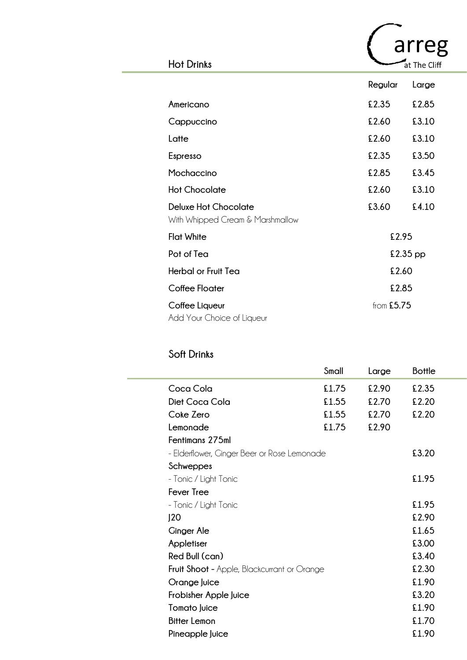|                                                                 |              | arreg        |
|-----------------------------------------------------------------|--------------|--------------|
| <b>Hot Drinks</b>                                               |              | at The Cliff |
|                                                                 | Regular      | Large        |
| Americano                                                       | £2.35        | £2.85        |
| Cappuccino                                                      | £2.60        | £3.10        |
| Latte                                                           | £2.60        | £3.10        |
| Espresso                                                        | £2.35        | £3.50        |
| Mochaccino                                                      | £2.85        | £3.45        |
| <b>Hot Chocolate</b>                                            | £2.60        | £3.10        |
| <b>Deluxe Hot Chocolate</b><br>With Whipped Cream & Marshmallow | £3.60        | £4.10        |
| <b>Flat White</b>                                               | £2.95        |              |
| Pot of Tea                                                      |              | $£2.35$ pp   |
| <b>Herbal or Fruit Tea</b>                                      | £2.60        |              |
| <b>Coffee Floater</b>                                           | £2.85        |              |
| Coffee Liqueur<br>Add Your Choice of Liqueur                    | from $£5.75$ |              |

# **Soft Drinks**

|                                                    | Small | Large | <b>Bottle</b> |
|----------------------------------------------------|-------|-------|---------------|
| Coca Cola                                          | £1.75 | £2.90 | £2.35         |
| Diet Coca Cola                                     | £1.55 | £2.70 | £2.20         |
| Coke Zero                                          | £1.55 | £2.70 | £2.20         |
| Lemonade                                           | £1.75 | £2.90 |               |
| Fentimans 275ml                                    |       |       |               |
| - Elderflower, Ginger Beer or Rose Lemonade        |       |       | £3.20         |
| Schweppes                                          |       |       |               |
| - Tonic / Light Tonic                              |       |       | £1.95         |
| <b>Fever Tree</b>                                  |       |       |               |
| - Tonic / Light Tonic                              |       |       | £1.95         |
| J20                                                |       |       | £2.90         |
| <b>Ginger Ale</b>                                  |       |       | £1.65         |
| Appletiser                                         |       |       | £3.00         |
| Red Bull (can)                                     |       |       | £3.40         |
| <b>Fruit Shoot -</b> Apple, Blackcurrant or Orange |       |       | £2.30         |
| Orange Juice                                       |       |       | £1.90         |
| Frobisher Apple Juice                              |       |       | £3.20         |
| <b>Tomato Juice</b>                                |       |       | £1.90         |
| <b>Bitter Lemon</b>                                |       |       | £1.70         |
| Pineapple Juice                                    |       |       | £1.90         |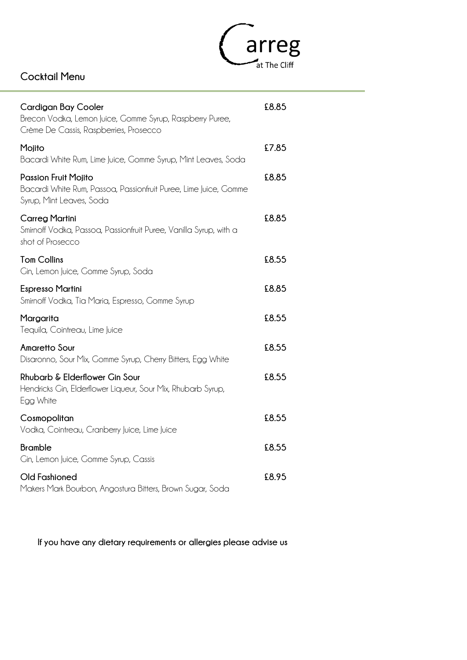

## **Cocktail Menu**

| <b>Cardigan Bay Cooler</b><br>Brecon Vodka, Lemon Juice, Gomme Syrup, Raspberry Puree,<br>Crème De Cassis, Raspberries, Prosecco | £8.85 |
|----------------------------------------------------------------------------------------------------------------------------------|-------|
| Mojito<br>Bacardi White Rum, Lime Juice, Gomme Syrup, Mint Leaves, Soda                                                          | £7.85 |
| <b>Passion Fruit Mojito</b><br>Bacardi White Rum, Passoa, Passionfruit Puree, Lime Juice, Gomme<br>Syrup, Mint Leaves, Soda      | £8.85 |
| <b>Carreg Martini</b><br>Smirnoff Vodka, Passoa, Passionfruit Puree, Vanilla Syrup, with a<br>shot of Prosecco                   | £8.85 |
| <b>Tom Collins</b><br>Cin, Lemon Juice, Comme Syrup, Soda                                                                        | £8.55 |
| <b>Espresso Martini</b><br>Smirnoff Vodka, Tia Maria, Espresso, Gomme Syrup                                                      | £8.85 |
| Margarita<br>Tequila, Cointreau, Lime Juice                                                                                      | £8.55 |
| <b>Amaretto Sour</b><br>Disaronno, Sour Mix, Gomme Syrup, Cherry Bitters, Egg White                                              | £8.55 |
| Rhubarb & Elderflower Gin Sour<br>Hendricks Gin, Elderflower Liqueur, Sour Mix, Rhubarb Syrup,<br>Egg White                      | £8.55 |
| Cosmopolitan<br>Vodka, Cointreau, Cranberry Juice, Lime Juice                                                                    | £8.55 |
| <b>Bramble</b><br>Cin, Lemon Juice, Comme Syrup, Cassis                                                                          | £8.55 |
| <b>Old Fashioned</b><br>Makers Mark Bourbon, Angostura Bitters, Brown Sugar, Soda                                                | £8.95 |

**If you have any dietary requirements or allergies please advise us**